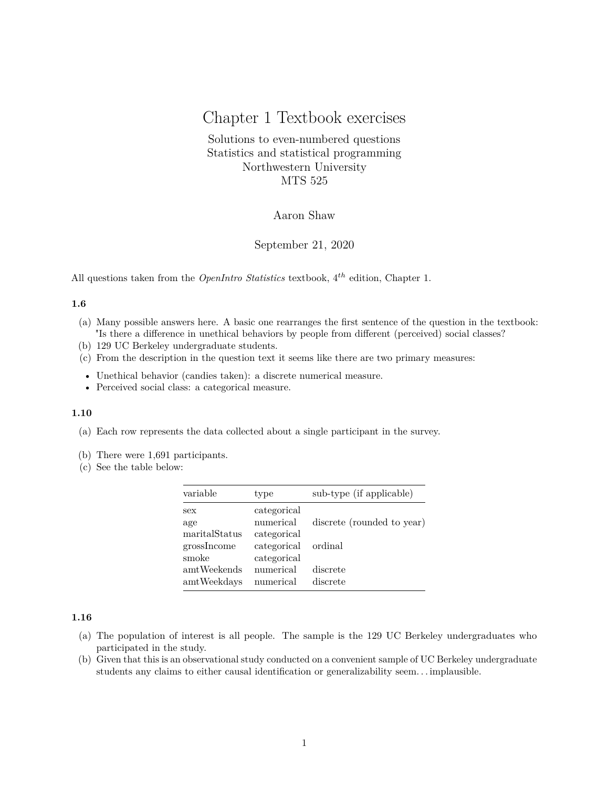# Chapter 1 Textbook exercises

Solutions to even-numbered questions Statistics and statistical programming Northwestern University MTS 525

# Aaron Shaw

September 21, 2020

All questions taken from the *OpenIntro Statistics* textbook, 4 *th* edition, Chapter 1.

## **1.6**

- (a) Many possible answers here. A basic one rearranges the first sentence of the question in the textbook: "Is there a difference in unethical behaviors by people from different (perceived) social classes?
- (b) 129 UC Berkeley undergraduate students.
- (c) From the description in the question text it seems like there are two primary measures:
- Unethical behavior (candies taken): a discrete numerical measure.
- Perceived social class: a categorical measure.

#### **1.10**

- (a) Each row represents the data collected about a single participant in the survey.
- (b) There were 1,691 participants.
- (c) See the table below:

| variable      | type        | sub-type (if applicable)   |
|---------------|-------------|----------------------------|
| sex           | categorical |                            |
| age           | numerical   | discrete (rounded to year) |
| maritalStatus | categorical |                            |
| grossIncome   | categorical | ordinal                    |
| smoke         | categorical |                            |
| amtWeekends   | numerical   | discrete                   |
| amtWeekdays   | numerical   | discrete                   |

## **1.16**

- (a) The population of interest is all people. The sample is the 129 UC Berkeley undergraduates who participated in the study.
- (b) Given that this is an observational study conducted on a convenient sample of UC Berkeley undergraduate students any claims to either causal identification or generalizability seem. . . implausible.